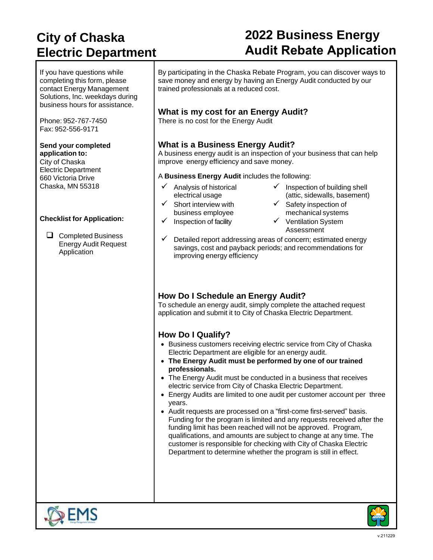### **City of Chaska Electric Department**

# **2022 Business Energy Audit Rebate Application**

If you have questions while completing this form, please contact Energy Management Solutions, Inc. weekdays during business hours for assistance.

Phone: 952-767-7450 Fax: 952-556-9171

#### **Send your completed application to:**

City of Chaska Electric Department 660 Victoria Drive Chaska, MN 55318

#### **Checklist for Application:**

❑ Completed Business Energy Audit Request Application

By participating in the Chaska Rebate Program, you can discover ways to save money and energy by having an Energy Audit conducted by our trained professionals at a reduced cost.

### **What is my cost for an Energy Audit?**

There is no cost for the Energy Audit

#### **What is a Business Energy Audit?**

A business energy audit is an inspection of your business that can help improve energy efficiency and save money.

A **Business Energy Audit** includes the following:

Analysis of historical electrical usage  $\checkmark$  Short interview with

business employee

- $\checkmark$  Inspection of building shell (attic, sidewalls, basement)
- ✓ Safety inspection of
- 
- mechanical systems ✓ Inspection of facility ✓ Ventilation System Assessment
- $\checkmark$  Detailed report addressing areas of concern; estimated energy savings, cost and payback periods; and recommendations for improving energy efficiency

### **How Do I Schedule an Energy Audit?**

To schedule an energy audit, simply complete the attached request application and submit it to City of Chaska Electric Department.

### **How Do I Qualify?**

- Business customers receiving electric service from City of Chaska Electric Department are eligible for an energy audit.
- **The Energy Audit must be performed by one of our trained professionals.**
- The Energy Audit must be conducted in a business that receives electric service from City of Chaska Electric Department.
- Energy Audits are limited to one audit per customer account per three years.
- Audit requests are processed on a "first-come first-served" basis. Funding for the program is limited and any requests received after the funding limit has been reached will not be approved. Program, qualifications, and amounts are subject to change at any time. The customer is responsible for checking with City of Chaska Electric Department to determine whether the program is still in effect.